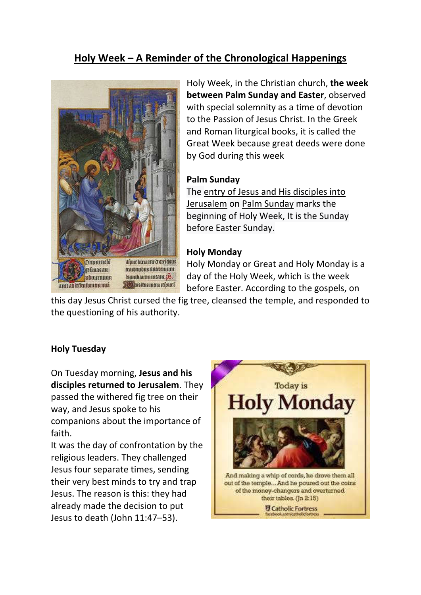# **Holy Week – A Reminder of the Chronological Happenings**



Holy Week, in the Christian church, **the week between Palm Sunday and Easter**, observed with special solemnity as a time of devotion to the Passion of Jesus Christ. In the Greek and Roman liturgical books, it is called the Great Week because great deeds were done by God during this week

#### **Palm Sunday**

The entry of Jesus and His disciples into Jerusalem on Palm Sunday marks the beginning of Holy Week, It is the Sunday before Easter Sunday.

## **Holy Monday**

Holy Monday or Great and Holy Monday is a day of the Holy Week, which is the week before Easter. According to the gospels, on

this day Jesus Christ cursed the fig tree, cleansed the temple, and responded to the questioning of his authority.

## **Holy Tuesday**

On Tuesday morning, **Jesus and his disciples returned to Jerusalem**. They passed the withered fig tree on their way, and Jesus spoke to his companions about the importance of faith.

It was the day of confrontation by the religious leaders. They challenged Jesus four separate times, sending their very best minds to try and trap Jesus. The reason is this: they had already made the decision to put Jesus to death (John 11:47–53).

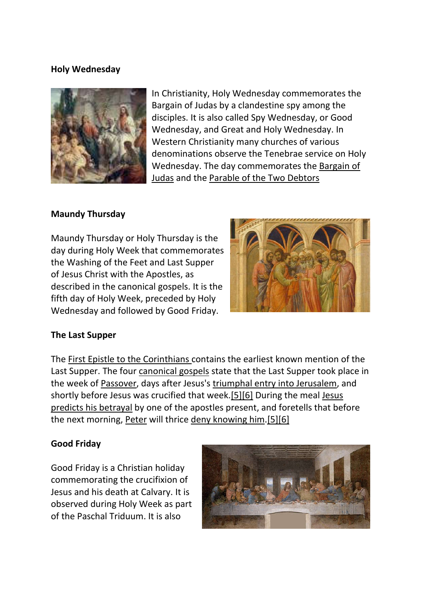## **Holy Wednesday**



In Christianity, Holy Wednesday commemorates the Bargain of Judas by a clandestine spy among the disciples. It is also called Spy Wednesday, or Good Wednesday, and Great and Holy Wednesday. In Western Christianity many churches of various denominations observe the Tenebrae service on Holy Wednesday. The day commemorates the Bargain of Judas and the Parable of the Two Debtors

#### **Maundy Thursday**

Maundy Thursday or Holy Thursday is the day during Holy Week that commemorates the Washing of the Feet and Last Supper of Jesus Christ with the Apostles, as described in the canonical gospels. It is the fifth day of Holy Week, preceded by Holy Wednesday and followed by Good Friday.



#### **The Last Supper**

The First Epistle to the Corinthians contains the earliest known mention of the Last Supper. The four canonical gospels state that the Last Supper took place in the week of Passover, days after Jesus's triumphal entry into Jerusalem, and shortly before Jesus was crucified that week.[5][6] During the meal Jesus predicts his betrayal by one of the apostles present, and foretells that before the next morning, Peter will thrice deny knowing him.[5][6]

#### **Good Friday**

Good Friday is a Christian holiday commemorating the crucifixion of Jesus and his death at Calvary. It is observed during Holy Week as part of the Paschal Triduum. It is also

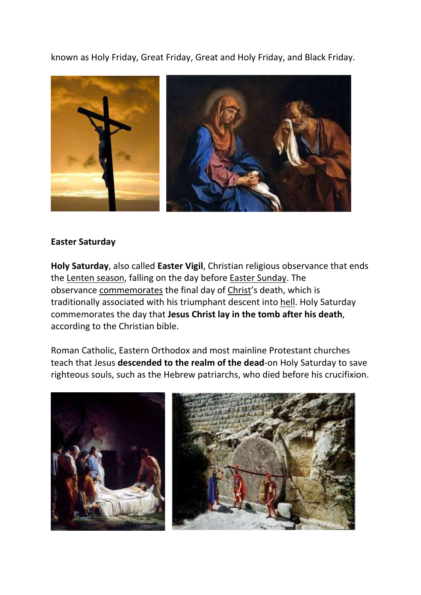known as Holy Friday, Great Friday, Great and Holy Friday, and Black Friday.



#### **Easter Saturday**

**Holy Saturday**, also called **Easter Vigil**, Christian religious observance that ends the Lenten season, falling on the day before Easter Sunday. The observance commemorates the final day of Christ's death, which is traditionally associated with his triumphant descent into hell. Holy Saturday commemorates the day that **Jesus Christ lay in the tomb after his death**, according to the Christian bible.

Roman Catholic, Eastern Orthodox and most mainline Protestant churches teach that Jesus **descended to the realm of the dead**-on Holy Saturday to save righteous souls, such as the Hebrew patriarchs, who died before his crucifixion.